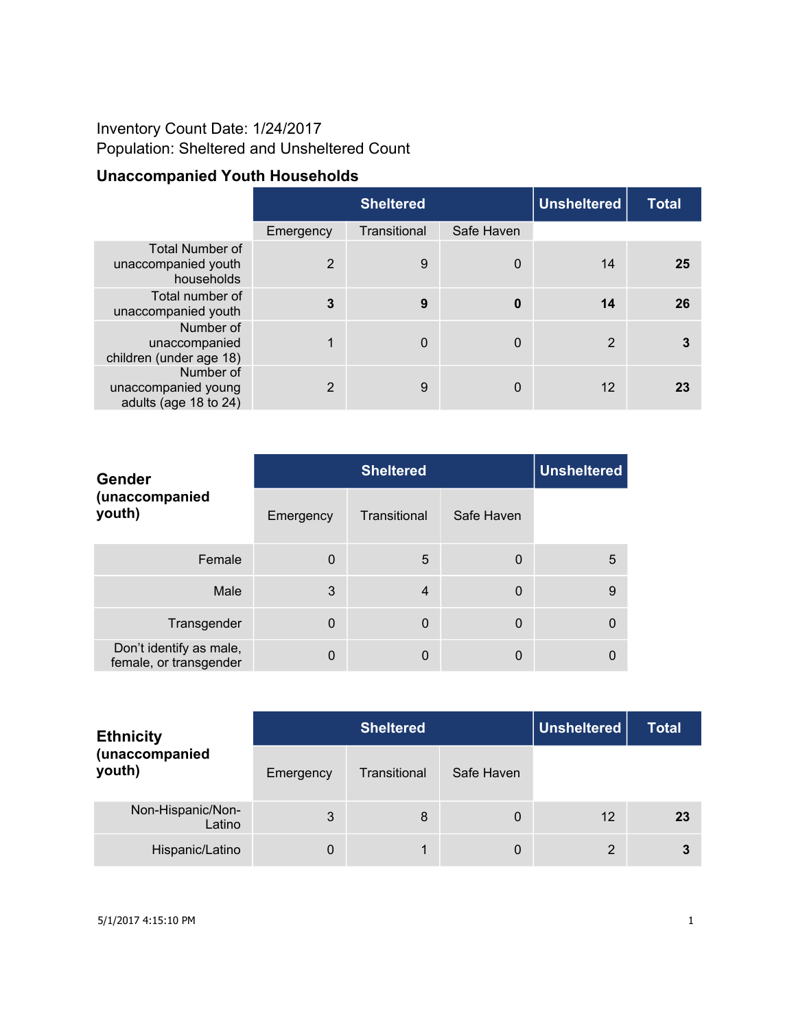## Inventory Count Date: 1/24/2017 Population: Sheltered and Unsheltered Count

# **Unaccompanied Youth Households**

|                                                             |                | <b>Sheltered</b> | <b>Unsheltered</b> | <b>Total</b> |    |
|-------------------------------------------------------------|----------------|------------------|--------------------|--------------|----|
|                                                             | Emergency      | Transitional     | Safe Haven         |              |    |
| <b>Total Number of</b><br>unaccompanied youth<br>households | $\overline{2}$ | 9                | $\mathbf 0$        | 14           | 25 |
| Total number of<br>unaccompanied youth                      | $\mathbf{3}$   | 9                | $\boldsymbol{0}$   | 14           | 26 |
| Number of<br>unaccompanied<br>children (under age 18)       | 1              | $\mathbf 0$      | $\Omega$           | 2            | 3  |
| Number of<br>unaccompanied young<br>adults (age 18 to 24)   | 2              | 9                | $\Omega$           | 12           | 23 |

| Gender                                            |           | <b>Unsheltered</b> |              |   |
|---------------------------------------------------|-----------|--------------------|--------------|---|
| (unaccompanied<br>youth)                          | Emergency | Transitional       | Safe Haven   |   |
| Female                                            | $\Omega$  | 5                  | $\Omega$     | 5 |
| Male                                              | 3         | 4                  | $\Omega$     | 9 |
| Transgender                                       | $\Omega$  | $\mathbf 0$        | $\mathbf{0}$ |   |
| Don't identify as male,<br>female, or transgender | 0         | $\mathbf 0$        | $\Omega$     |   |

| <b>Ethnicity</b>            |           | <b>Sheltered</b> | Unsheltered | <b>Total</b>   |    |
|-----------------------------|-----------|------------------|-------------|----------------|----|
| (unaccompanied<br>youth)    | Emergency | Transitional     | Safe Haven  |                |    |
| Non-Hispanic/Non-<br>Latino | 3         | 8                | 0           | 12             | 23 |
| Hispanic/Latino             | 0         |                  | 0           | $\overline{2}$ | 3  |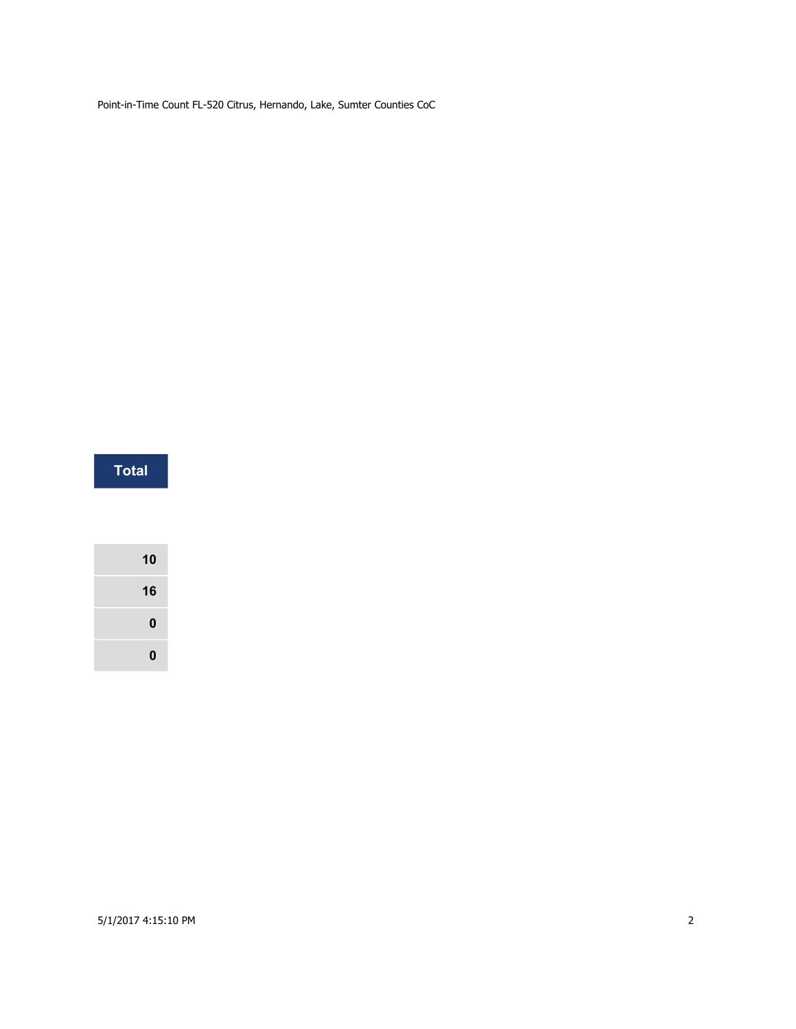| Total |  |  |  |  |
|-------|--|--|--|--|
|       |  |  |  |  |
|       |  |  |  |  |
|       |  |  |  |  |
| 10    |  |  |  |  |
| 16    |  |  |  |  |
| 0     |  |  |  |  |
|       |  |  |  |  |

#### 5/1/2017 4:15:10 PM 2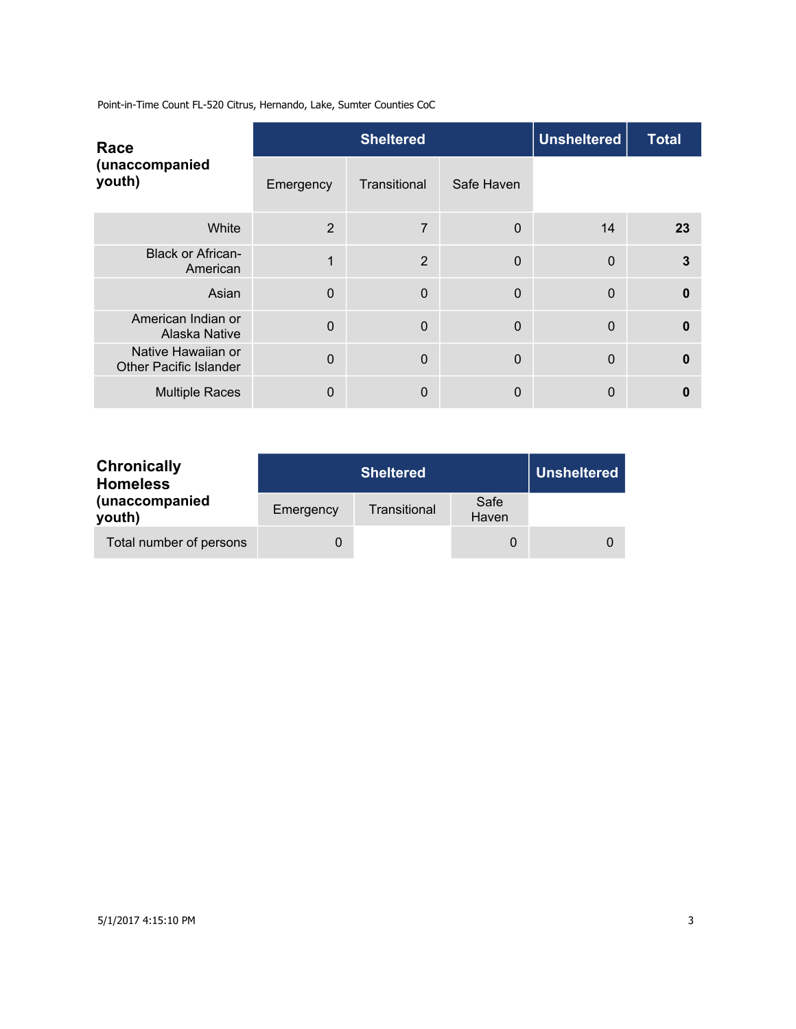| Race                                                |                | <b>Sheltered</b> |              | <b>Unsheltered</b> | <b>Total</b> |
|-----------------------------------------------------|----------------|------------------|--------------|--------------------|--------------|
| (unaccompanied<br>youth)                            | Emergency      | Transitional     | Safe Haven   |                    |              |
| White                                               | $\overline{2}$ | 7                | $\mathbf 0$  | 14                 | 23           |
| <b>Black or African-</b><br>American                | 1              | $\overline{2}$   | $\mathbf{0}$ | $\overline{0}$     | 3            |
| Asian                                               | $\overline{0}$ | $\mathbf 0$      | 0            | $\mathbf{0}$       | $\mathbf{0}$ |
| American Indian or<br>Alaska Native                 | $\overline{0}$ | $\mathbf 0$      | $\mathbf{0}$ | $\overline{0}$     | $\mathbf{0}$ |
| Native Hawaiian or<br><b>Other Pacific Islander</b> | $\Omega$       | $\overline{0}$   | $\mathbf{0}$ | $\overline{0}$     | $\mathbf{0}$ |
| <b>Multiple Races</b>                               | 0              | $\mathbf 0$      | 0            | 0                  | O            |

| <b>Chronically</b><br><b>Homeless</b> |           | <b>Unsheltered</b> |               |  |
|---------------------------------------|-----------|--------------------|---------------|--|
| (unaccompanied<br>youth)              | Emergency | Transitional       | Safe<br>Haven |  |
| Total number of persons               | 0         |                    |               |  |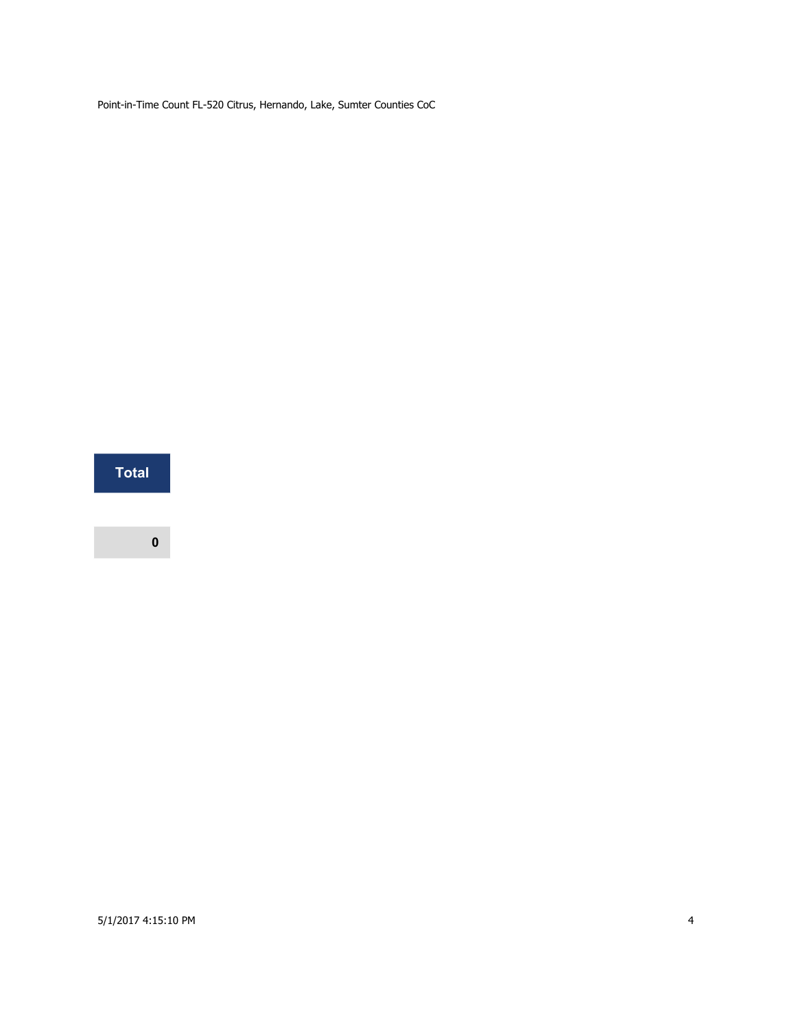**Total**

**0**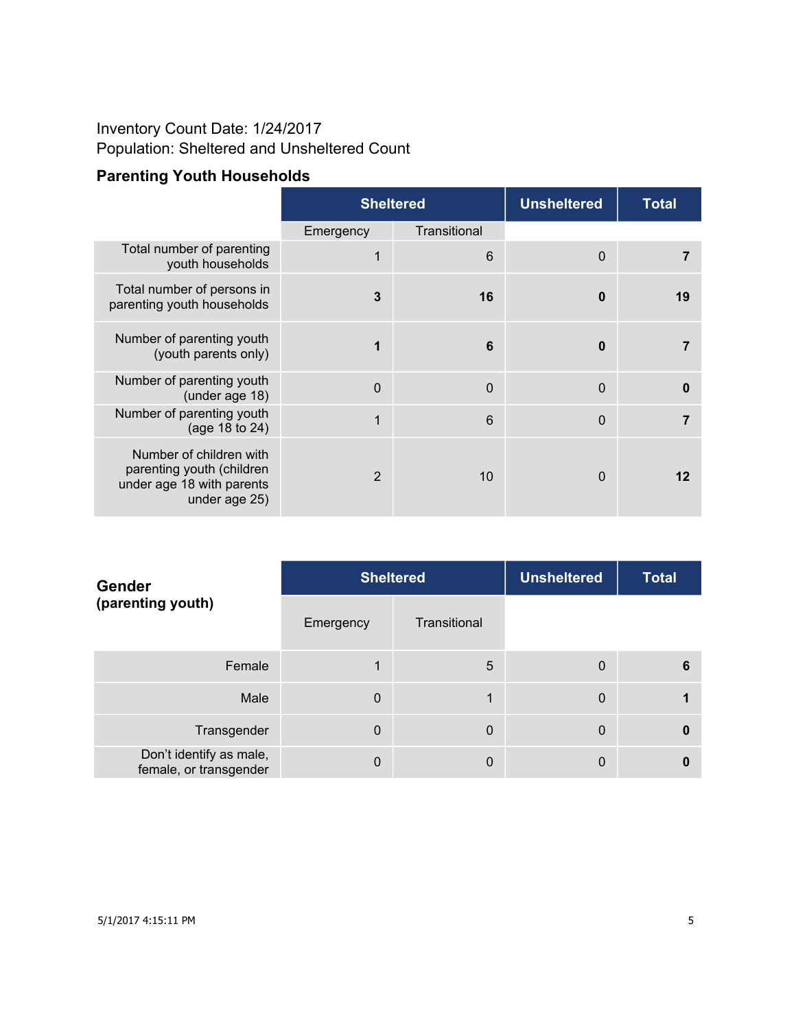## Inventory Count Date: 1/24/2017 Population: Sheltered and Unsheltered Count

# **Parenting Youth Households**

|                                                                                                    | <b>Sheltered</b> |              | <b>Unsheltered</b> | <b>Total</b> |
|----------------------------------------------------------------------------------------------------|------------------|--------------|--------------------|--------------|
|                                                                                                    | Emergency        | Transitional |                    |              |
| Total number of parenting<br>youth households                                                      | 1                | 6            | $\mathbf 0$        | 7            |
| Total number of persons in<br>parenting youth households                                           | $\mathbf{3}$     | 16           | 0                  | 19           |
| Number of parenting youth<br>(youth parents only)                                                  | 1                | 6            | $\bf{0}$           | 7            |
| Number of parenting youth<br>(under age 18)                                                        | $\Omega$         | $\mathbf 0$  | $\mathbf 0$        | 0            |
| Number of parenting youth<br>(age 18 to 24)                                                        | 1                | 6            | $\mathbf 0$        | 7            |
| Number of children with<br>parenting youth (children<br>under age 18 with parents<br>under age 25) | 2                | 10           | $\mathbf 0$        | 12           |

| <b>Gender</b><br>(parenting youth)                |             | <b>Sheltered</b> | <b>Unsheltered</b> | <b>Total</b> |
|---------------------------------------------------|-------------|------------------|--------------------|--------------|
|                                                   | Emergency   | Transitional     |                    |              |
| Female                                            |             | 5                | $\mathbf 0$        | 6            |
| Male                                              | $\mathbf 0$ | 1                | $\mathbf 0$        |              |
| Transgender                                       | $\Omega$    | $\mathbf 0$      | $\mathbf 0$        | 0            |
| Don't identify as male,<br>female, or transgender | $\Omega$    | 0                | 0                  |              |